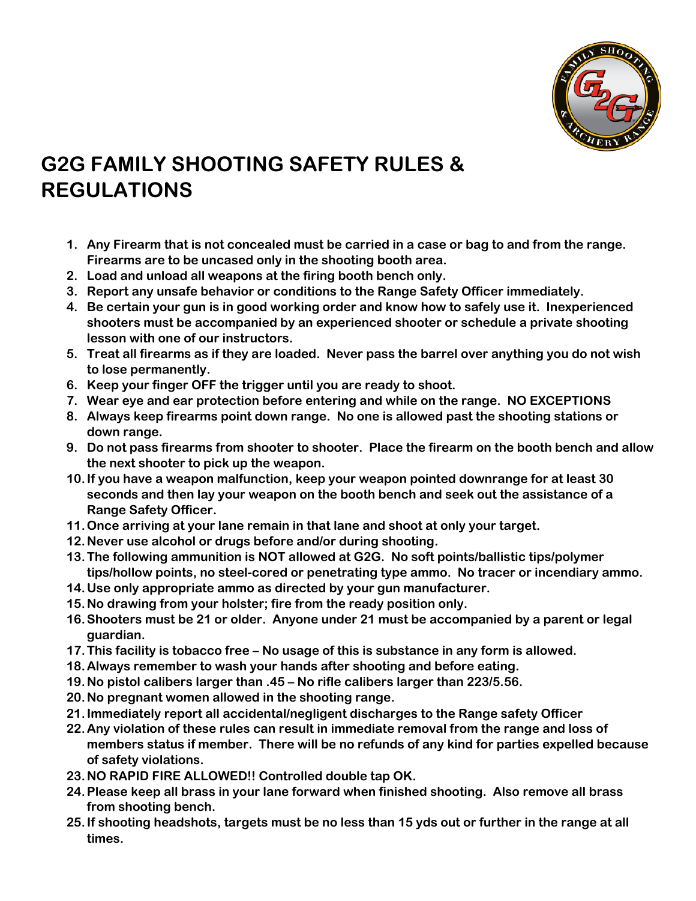

## **G2G FAMILY SHOOTING SAFETY RULES & REGULATIONS**

- **1. Any Firearm that is not concealed must be carried in a case or bag to and from the range. Firearms are to be uncased only in the shooting booth area.**
- **2. Load and unload all weapons at the firing booth bench only.**
- **3. Report any unsafe behavior or conditions to the Range Safety Officer immediately.**
- **4. Be certain your gun is in good working order and know how to safely use it. Inexperienced shooters must be accompanied by an experienced shooter or schedule a private shooting lesson with one of our instructors.**
- **5. Treat all firearms as if they are loaded. Never pass the barrel over anything you do not wish to lose permanently.**
- **6. Keep your finger OFF the trigger until you are ready to shoot.**
- **7. Wear eye and ear protection before entering and while on the range. NO EXCEPTIONS**
- **8. Always keep firearms point down range. No one is allowed past the shooting stations or down range.**
- **9. Do not pass firearms from shooter to shooter. Place the firearm on the booth bench and allow the next shooter to pick up the weapon.**
- **10.If you have a weapon malfunction, keep your weapon pointed downrange for at least 30 seconds and then lay your weapon on the booth bench and seek out the assistance of a Range Safety Officer.**
- **11.Once arriving at your lane remain in that lane and shoot at only your target.**
- **12.Never use alcohol or drugs before and/or during shooting.**
- **13.The following ammunition is NOT allowed at G2G. No soft points/ballistic tips/polymer tips/hollow points, no steel-cored or penetrating type ammo. No tracer or incendiary ammo.**
- **14.Use only appropriate ammo as directed by your gun manufacturer.**
- **15.No drawing from your holster; fire from the ready position only.**
- **16.Shooters must be 21 or older. Anyone under 21 must be accompanied by a parent or legal guardian.**
- **17.This facility is tobacco free – No usage of this is substance in any form is allowed.**
- **18.Always remember to wash your hands after shooting and before eating.**
- **19.No pistol calibers larger than .45 – No rifle calibers larger than 223/5.56.**
- **20.No pregnant women allowed in the shooting range.**
- **21.Immediately report all accidental/negligent discharges to the Range safety Officer**
- **22.Any violation of these rules can result in immediate removal from the range and loss of members status if member. There will be no refunds of any kind for parties expelled because of safety violations.**
- **23.NO RAPID FIRE ALLOWED!! Controlled double tap OK.**
- **24.Please keep all brass in your lane forward when finished shooting. Also remove all brass from shooting bench.**
- **25.If shooting headshots, targets must be no less than 15 yds out or further in the range at all times.**